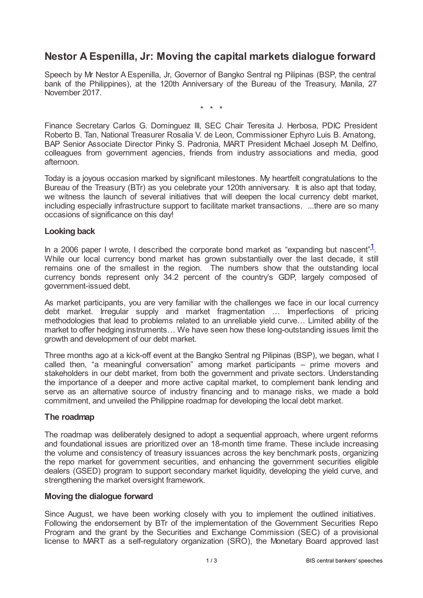# **Nestor A Espenilla, Jr: Moving the capital markets dialogue forward**

Speech by Mr Nestor A Espenilla, Jr, Governor of Bangko Sentral ng Pilipinas (BSP, the central bank of the Philippines), at the 120th Anniversary of the Bureau of the Treasury, Manila, 27 November 2017.

<span id="page-0-0"></span>\* \* \*

Finance Secretary Carlos G. Dominguez III, SEC Chair Teresita J. Herbosa, PDIC President Roberto B. Tan, National Treasurer Rosalia V. de Leon, Commissioner Ephyro Luis B. Amatong, BAP Senior Associate Director Pinky S. Padronia, MART President Michael Joseph M. Delfino, colleagues from government agencies, friends from industry associations and media, good afternoon.

Today is a joyous occasion marked by significant milestones. My heartfelt congratulations to the Bureau of the Treasury (BTr) as you celebrate your 120th anniversary. It is also apt that today, we witness the launch of several initiatives that will deepen the local currency debt market, including especially infrastructure support to facilitate market transactions. ...there are so many occasions of significance on this day!

#### **Looking back**

In a 2006 paper I wrote, I described the corporate bond market as "expanding but nascent" $1$ . While our local currency bond market has grown substantially over the last decade, it still remains one of the smallest in the region. The numbers show that the outstanding local currency bonds represent only 34.2 percent of the country's GDP, largely composed of government-issued debt.

As market participants, you are very familiar with the challenges we face in our local currency debt market. Irregular supply and market fragmentation … Imperfections of pricing methodologies that lead to problems related to an unreliable yield curve… Limited ability of the market to offer hedging instruments… We have seen how these long-outstanding issues limit the growth and development of our debt market.

Three months ago at a kick-off event at the Bangko Sentral ng Pilipinas (BSP), we began, what I called then, "a meaningful conversation" among market participants – prime movers and stakeholders in our debt market, from both the government and private sectors. Understanding the importance of a deeper and more active capital market, to complement bank lending and serve as an alternative source of industry financing and to manage risks, we made a bold commitment, and unveiled the Philippine roadmap for developing the local debt market.

# **The roadmap**

The roadmap was deliberately designed to adopt a sequential approach, where urgent reforms and foundational issues are prioritized over an 18-month time frame. These include increasing the volume and consistency of treasury issuances across the key benchmark posts, organizing the repo market for government securities, and enhancing the government securities eligible dealers (GSED) program to support secondary market liquidity, developing the yield curve, and strengthening the market oversight framework.

# **Moving the dialogue forward**

Since August, we have been working closely with you to implement the outlined initiatives. Following the endorsement by BTr of the implementation of the Government Securities Repo Program and the grant by the Securities and Exchange Commission (SEC) of a provisional license to MART as a self-regulatory organization (SRO), the Monetary Board approved last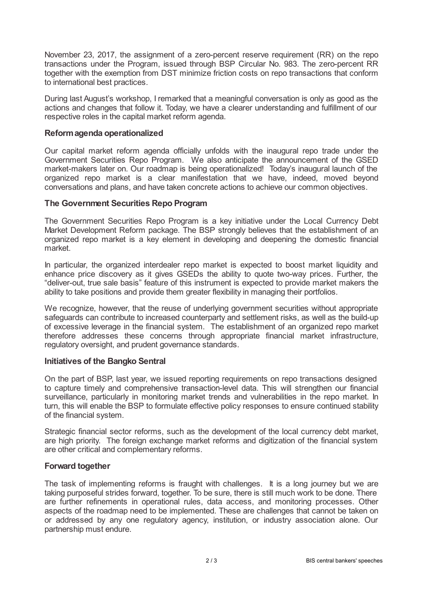November 23, 2017, the assignment of a zero-percent reserve requirement (RR) on the repo transactions under the Program, issued through BSP Circular No. 983. The zero-percent RR together with the exemption from DST minimize friction costs on repo transactions that conform to international best practices.

During last August's workshop, I remarked that a meaningful conversation is only as good as the actions and changes that follow it. Today, we have a clearer understanding and fulfillment of our respective roles in the capital market reform agenda.

### **Reformagenda operationalized**

Our capital market reform agenda officially unfolds with the inaugural repo trade under the Government Securities Repo Program. We also anticipate the announcement of the GSED market-makers later on. Our roadmap is being operationalized! Today's inaugural launch of the organized repo market is a clear manifestation that we have, indeed, moved beyond conversations and plans, and have taken concrete actions to achieve our common objectives.

## **The Government Securities Repo Program**

The Government Securities Repo Program is a key initiative under the Local Currency Debt Market Development Reform package. The BSP strongly believes that the establishment of an organized repo market is a key element in developing and deepening the domestic financial market.

In particular, the organized interdealer repo market is expected to boost market liquidity and enhance price discovery as it gives GSEDs the ability to quote two-way prices. Further, the "deliver-out, true sale basis" feature of this instrument is expected to provide market makers the ability to take positions and provide them greater flexibility in managing their portfolios.

We recognize, however, that the reuse of underlying government securities without appropriate safeguards can contribute to increased counterparty and settlement risks, as well as the build-up of excessive leverage in the financial system. The establishment of an organized repo market therefore addresses these concerns through appropriate financial market infrastructure, regulatory oversight, and prudent governance standards.

# **Initiatives of the Bangko Sentral**

On the part of BSP, last year, we issued reporting requirements on repo transactions designed to capture timely and comprehensive transaction-level data. This will strengthen our financial surveillance, particularly in monitoring market trends and vulnerabilities in the repo market. In turn, this will enable the BSP to formulate effective policy responses to ensure continued stability of the financial system.

Strategic financial sector reforms, such as the development of the local currency debt market, are high priority. The foreign exchange market reforms and digitization of the financial system are other critical and complementary reforms.

#### **Forward together**

The task of implementing reforms is fraught with challenges. It is a long journey but we are taking purposeful strides forward, together. To be sure, there is still much work to be done. There are further refinements in operational rules, data access, and monitoring processes. Other aspects of the roadmap need to be implemented. These are challenges that cannot be taken on or addressed by any one regulatory agency, institution, or industry association alone. Our partnership must endure.